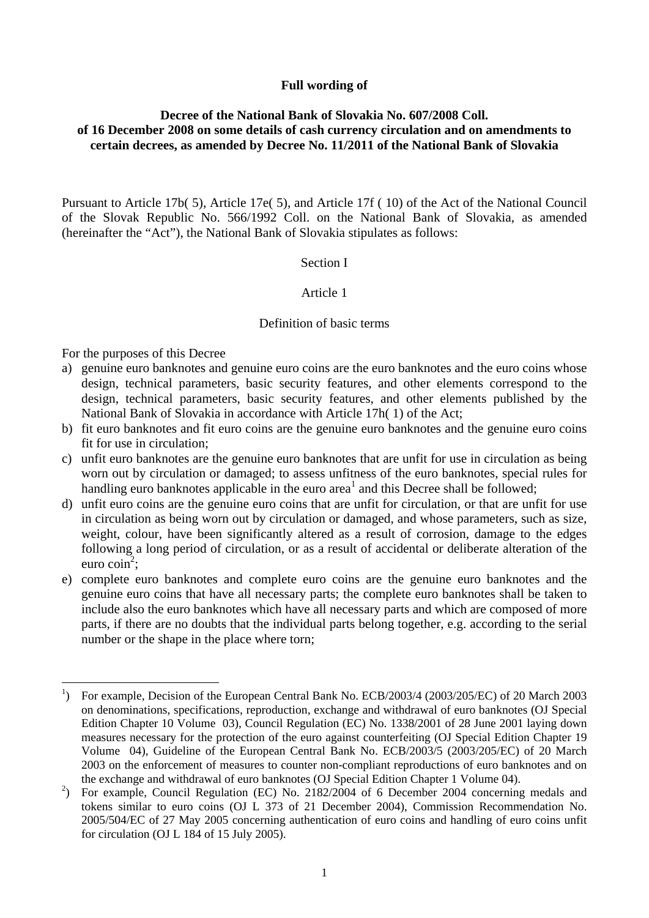# **Full wording of**

# **Decree of the National Bank of Slovakia No. 607/2008 Coll. of 16 December 2008 on some details of cash currency circulation and on amendments to certain decrees, as amended by Decree No. 11/2011 of the National Bank of Slovakia**

Pursuant to Article 17b( 5), Article 17e( 5), and Article 17f ( 10) of the Act of the National Council of the Slovak Republic No. 566/1992 Coll. on the National Bank of Slovakia, as amended (hereinafter the "Act"), the National Bank of Slovakia stipulates as follows:

### Section I

# Article 1

### Definition of basic terms

For the purposes of this Decree

- a) genuine euro banknotes and genuine euro coins are the euro banknotes and the euro coins whose design, technical parameters, basic security features, and other elements correspond to the design, technical parameters, basic security features, and other elements published by the National Bank of Slovakia in accordance with Article 17h( 1) of the Act;
- b) fit euro banknotes and fit euro coins are the genuine euro banknotes and the genuine euro coins fit for use in circulation;
- c) unfit euro banknotes are the genuine euro banknotes that are unfit for use in circulation as being worn out by circulation or damaged; to assess unfitness of the euro banknotes, special rules for handling euro banknotes applicable in the euro area<sup>1</sup> and this Decree shall be followed;
- d) unfit euro coins are the genuine euro coins that are unfit for circulation, or that are unfit for use in circulation as being worn out by circulation or damaged, and whose parameters, such as size, weight, colour, have been significantly altered as a result of corrosion, damage to the edges following a long period of circulation, or as a result of accidental or deliberate alteration of the euro coin<sup>2</sup>;
- e) complete euro banknotes and complete euro coins are the genuine euro banknotes and the genuine euro coins that have all necessary parts; the complete euro banknotes shall be taken to include also the euro banknotes which have all necessary parts and which are composed of more parts, if there are no doubts that the individual parts belong together, e.g. according to the serial number or the shape in the place where torn;

 $\overline{a}$ <sup>1</sup>) For example, Decision of the European Central Bank No. ECB/2003/4 (2003/205/EC) of 20 March 2003 on denominations, specifications, reproduction, exchange and withdrawal of euro banknotes (OJ Special Edition Chapter 10 Volume 03), Council Regulation (EC) No. 1338/2001 of 28 June 2001 laying down measures necessary for the protection of the euro against counterfeiting (OJ Special Edition Chapter 19 Volume 04), Guideline of the European Central Bank No. ECB/2003/5 (2003/205/EC) of 20 March 2003 on the enforcement of measures to counter non-compliant reproductions of euro banknotes and on the exchange and withdrawal of euro banknotes (OJ Special Edition Chapter 1 Volume 04).

<sup>&</sup>lt;sup>2</sup>) For example, Council Regulation (EC) No. 2182/2004 of 6 December 2004 concerning medals and tokens similar to euro coins (OJ L 373 of 21 December 2004), Commission Recommendation No. 2005/504/EC of 27 May 2005 concerning authentication of euro coins and handling of euro coins unfit for circulation (OJ L 184 of 15 July 2005).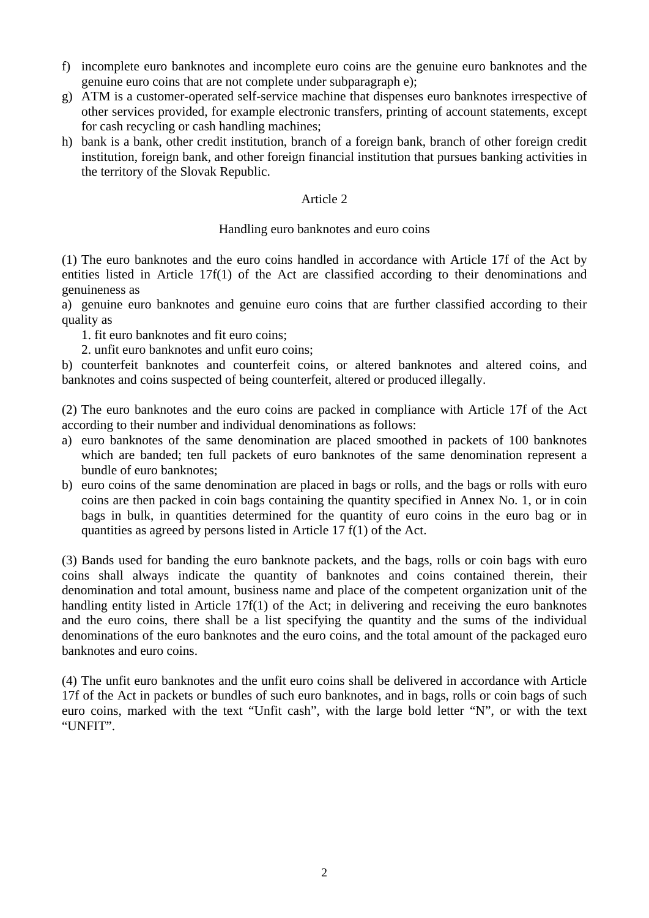- f) incomplete euro banknotes and incomplete euro coins are the genuine euro banknotes and the genuine euro coins that are not complete under subparagraph e);
- g) ATM is a customer-operated self-service machine that dispenses euro banknotes irrespective of other services provided, for example electronic transfers, printing of account statements, except for cash recycling or cash handling machines;
- h) bank is a bank, other credit institution, branch of a foreign bank, branch of other foreign credit institution, foreign bank, and other foreign financial institution that pursues banking activities in the territory of the Slovak Republic.

## Article 2

# Handling euro banknotes and euro coins

(1) The euro banknotes and the euro coins handled in accordance with Article 17f of the Act by entities listed in Article 17f(1) of the Act are classified according to their denominations and genuineness as

a) genuine euro banknotes and genuine euro coins that are further classified according to their quality as

- 1. fit euro banknotes and fit euro coins;
- 2. unfit euro banknotes and unfit euro coins;

b) counterfeit banknotes and counterfeit coins, or altered banknotes and altered coins, and banknotes and coins suspected of being counterfeit, altered or produced illegally.

(2) The euro banknotes and the euro coins are packed in compliance with Article 17f of the Act according to their number and individual denominations as follows:

- a) euro banknotes of the same denomination are placed smoothed in packets of 100 banknotes which are banded; ten full packets of euro banknotes of the same denomination represent a bundle of euro banknotes;
- b) euro coins of the same denomination are placed in bags or rolls, and the bags or rolls with euro coins are then packed in coin bags containing the quantity specified in Annex No. 1, or in coin bags in bulk, in quantities determined for the quantity of euro coins in the euro bag or in quantities as agreed by persons listed in Article 17 f(1) of the Act.

(3) Bands used for banding the euro banknote packets, and the bags, rolls or coin bags with euro coins shall always indicate the quantity of banknotes and coins contained therein, their denomination and total amount, business name and place of the competent organization unit of the handling entity listed in Article 17f(1) of the Act; in delivering and receiving the euro banknotes and the euro coins, there shall be a list specifying the quantity and the sums of the individual denominations of the euro banknotes and the euro coins, and the total amount of the packaged euro banknotes and euro coins.

(4) The unfit euro banknotes and the unfit euro coins shall be delivered in accordance with Article 17f of the Act in packets or bundles of such euro banknotes, and in bags, rolls or coin bags of such euro coins, marked with the text "Unfit cash", with the large bold letter "N", or with the text "UNFIT".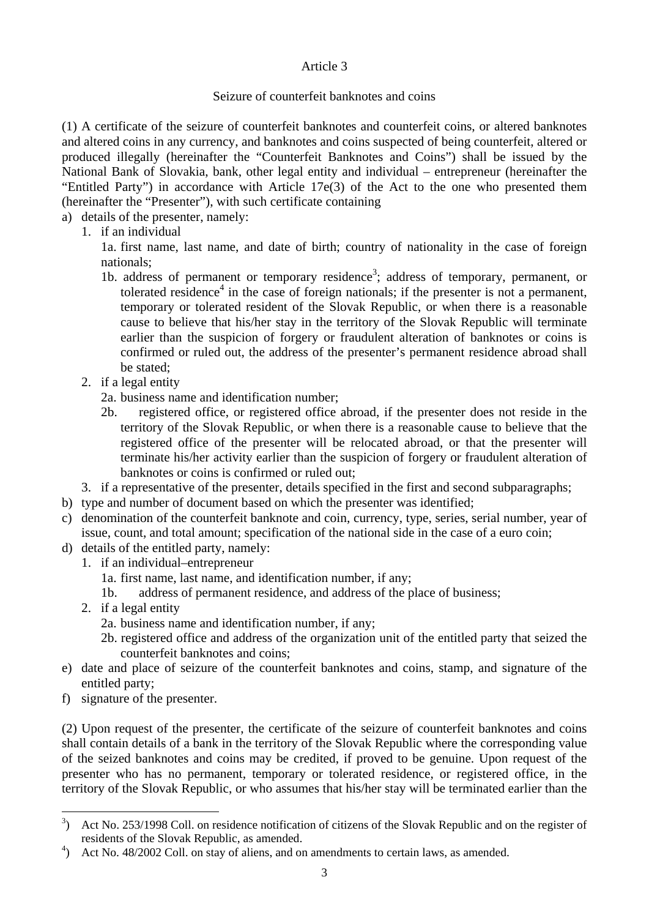# Article 3

# Seizure of counterfeit banknotes and coins

(1) A certificate of the seizure of counterfeit banknotes and counterfeit coins, or altered banknotes and altered coins in any currency, and banknotes and coins suspected of being counterfeit, altered or produced illegally (hereinafter the "Counterfeit Banknotes and Coins") shall be issued by the National Bank of Slovakia, bank, other legal entity and individual – entrepreneur (hereinafter the "Entitled Party") in accordance with Article 17e(3) of the Act to the one who presented them (hereinafter the "Presenter"), with such certificate containing

- a) details of the presenter, namely:
	- 1. if an individual

1a. first name, last name, and date of birth; country of nationality in the case of foreign nationals;

- 1b. address of permanent or temporary residence<sup>3</sup>; address of temporary, permanent, or tolerated residence $4$  in the case of foreign nationals; if the presenter is not a permanent, temporary or tolerated resident of the Slovak Republic, or when there is a reasonable cause to believe that his/her stay in the territory of the Slovak Republic will terminate earlier than the suspicion of forgery or fraudulent alteration of banknotes or coins is confirmed or ruled out, the address of the presenter's permanent residence abroad shall be stated;
- 2. if a legal entity
	- 2a. business name and identification number;
	- 2b. registered office, or registered office abroad, if the presenter does not reside in the territory of the Slovak Republic, or when there is a reasonable cause to believe that the registered office of the presenter will be relocated abroad, or that the presenter will terminate his/her activity earlier than the suspicion of forgery or fraudulent alteration of banknotes or coins is confirmed or ruled out;
- 3. if a representative of the presenter, details specified in the first and second subparagraphs;
- b) type and number of document based on which the presenter was identified;
- c) denomination of the counterfeit banknote and coin, currency, type, series, serial number, year of issue, count, and total amount; specification of the national side in the case of a euro coin;
- d) details of the entitled party, namely:
	- 1. if an individual–entrepreneur
		- 1a. first name, last name, and identification number, if any;
		- 1b. address of permanent residence, and address of the place of business;
	- 2. if a legal entity
		- 2a. business name and identification number, if any;
		- 2b. registered office and address of the organization unit of the entitled party that seized the counterfeit banknotes and coins;
- e) date and place of seizure of the counterfeit banknotes and coins, stamp, and signature of the entitled party;
- f) signature of the presenter.

 $\overline{a}$ 

(2) Upon request of the presenter, the certificate of the seizure of counterfeit banknotes and coins shall contain details of a bank in the territory of the Slovak Republic where the corresponding value of the seized banknotes and coins may be credited, if proved to be genuine. Upon request of the presenter who has no permanent, temporary or tolerated residence, or registered office, in the territory of the Slovak Republic, or who assumes that his/her stay will be terminated earlier than the

<sup>&</sup>lt;sup>3</sup>) Act No. 253/1998 Coll. on residence notification of citizens of the Slovak Republic and on the register of residents of the Slovak Republic, as amended.

<sup>&</sup>lt;sup>4</sup>) Act No. 48/2002 Coll. on stay of aliens, and on amendments to certain laws, as amended.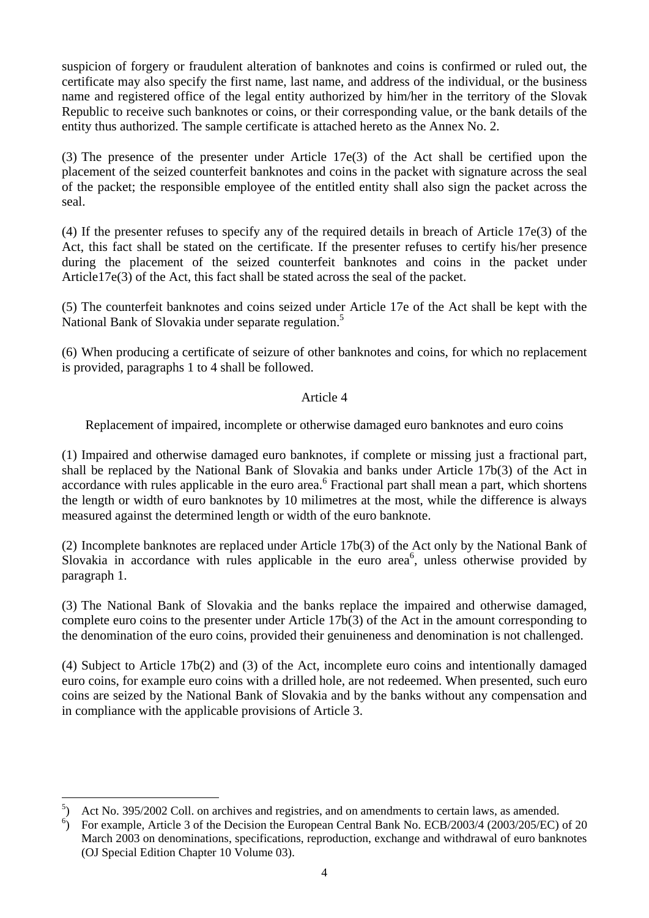suspicion of forgery or fraudulent alteration of banknotes and coins is confirmed or ruled out, the certificate may also specify the first name, last name, and address of the individual, or the business name and registered office of the legal entity authorized by him/her in the territory of the Slovak Republic to receive such banknotes or coins, or their corresponding value, or the bank details of the entity thus authorized. The sample certificate is attached hereto as the Annex No. 2.

(3) The presence of the presenter under Article 17e(3) of the Act shall be certified upon the placement of the seized counterfeit banknotes and coins in the packet with signature across the seal of the packet; the responsible employee of the entitled entity shall also sign the packet across the seal.

(4) If the presenter refuses to specify any of the required details in breach of Article 17e(3) of the Act, this fact shall be stated on the certificate. If the presenter refuses to certify his/her presence during the placement of the seized counterfeit banknotes and coins in the packet under Article17e(3) of the Act, this fact shall be stated across the seal of the packet.

(5) The counterfeit banknotes and coins seized under Article 17e of the Act shall be kept with the National Bank of Slovakia under separate regulation.<sup>5</sup>

(6) When producing a certificate of seizure of other banknotes and coins, for which no replacement is provided, paragraphs 1 to 4 shall be followed.

# Article 4

Replacement of impaired, incomplete or otherwise damaged euro banknotes and euro coins

(1) Impaired and otherwise damaged euro banknotes, if complete or missing just a fractional part, shall be replaced by the National Bank of Slovakia and banks under Article 17b(3) of the Act in accordance with rules applicable in the euro area.<sup>6</sup> Fractional part shall mean a part, which shortens the length or width of euro banknotes by 10 milimetres at the most, while the difference is always measured against the determined length or width of the euro banknote.

(2) Incomplete banknotes are replaced under Article 17b(3) of the Act only by the National Bank of Slovakia in accordance with rules applicable in the euro area<sup>6</sup>, unless otherwise provided by paragraph 1.

(3) The National Bank of Slovakia and the banks replace the impaired and otherwise damaged, complete euro coins to the presenter under Article 17b(3) of the Act in the amount corresponding to the denomination of the euro coins, provided their genuineness and denomination is not challenged.

(4) Subject to Article 17b(2) and (3) of the Act, incomplete euro coins and intentionally damaged euro coins, for example euro coins with a drilled hole, are not redeemed. When presented, such euro coins are seized by the National Bank of Slovakia and by the banks without any compensation and in compliance with the applicable provisions of Article 3.

 $\overline{a}$ 

<sup>&</sup>lt;sup>5</sup>) Act No. 395/2002 Coll. on archives and registries, and on amendments to certain laws, as amended.

<sup>&</sup>lt;sup>6</sup>) For example, Article 3 of the Decision the European Central Bank No. ECB/2003/4 (2003/205/EC) of 20 March 2003 on denominations, specifications, reproduction, exchange and withdrawal of euro banknotes (OJ Special Edition Chapter 10 Volume 03).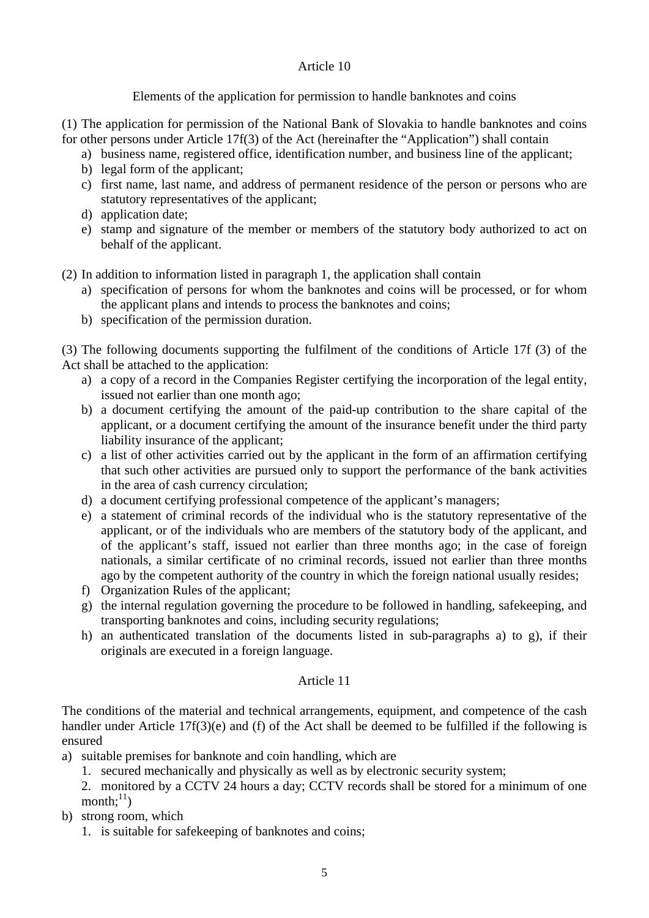# Article 10

# Elements of the application for permission to handle banknotes and coins

(1) The application for permission of the National Bank of Slovakia to handle banknotes and coins for other persons under Article 17f(3) of the Act (hereinafter the "Application") shall contain

- a) business name, registered office, identification number, and business line of the applicant;
- b) legal form of the applicant:
- c) first name, last name, and address of permanent residence of the person or persons who are statutory representatives of the applicant;
- d) application date;
- e) stamp and signature of the member or members of the statutory body authorized to act on behalf of the applicant.

(2) In addition to information listed in paragraph 1, the application shall contain

- a) specification of persons for whom the banknotes and coins will be processed, or for whom the applicant plans and intends to process the banknotes and coins;
- b) specification of the permission duration.

(3) The following documents supporting the fulfilment of the conditions of Article 17f (3) of the Act shall be attached to the application:

- a) a copy of a record in the Companies Register certifying the incorporation of the legal entity, issued not earlier than one month ago;
- b) a document certifying the amount of the paid-up contribution to the share capital of the applicant, or a document certifying the amount of the insurance benefit under the third party liability insurance of the applicant;
- c) a list of other activities carried out by the applicant in the form of an affirmation certifying that such other activities are pursued only to support the performance of the bank activities in the area of cash currency circulation;
- d) a document certifying professional competence of the applicant's managers;
- e) a statement of criminal records of the individual who is the statutory representative of the applicant, or of the individuals who are members of the statutory body of the applicant, and of the applicant's staff, issued not earlier than three months ago; in the case of foreign nationals, a similar certificate of no criminal records, issued not earlier than three months ago by the competent authority of the country in which the foreign national usually resides;
- f) Organization Rules of the applicant;
- g) the internal regulation governing the procedure to be followed in handling, safekeeping, and transporting banknotes and coins, including security regulations;
- h) an authenticated translation of the documents listed in sub-paragraphs a) to g), if their originals are executed in a foreign language.

# Article 11

The conditions of the material and technical arrangements, equipment, and competence of the cash handler under Article 17f(3)(e) and (f) of the Act shall be deemed to be fulfilled if the following is ensured

- a) suitable premises for banknote and coin handling, which are
	- 1. secured mechanically and physically as well as by electronic security system;

2. monitored by a CCTV 24 hours a day; CCTV records shall be stored for a minimum of one month: $^{11}$ )

b) strong room, which

1. is suitable for safekeeping of banknotes and coins;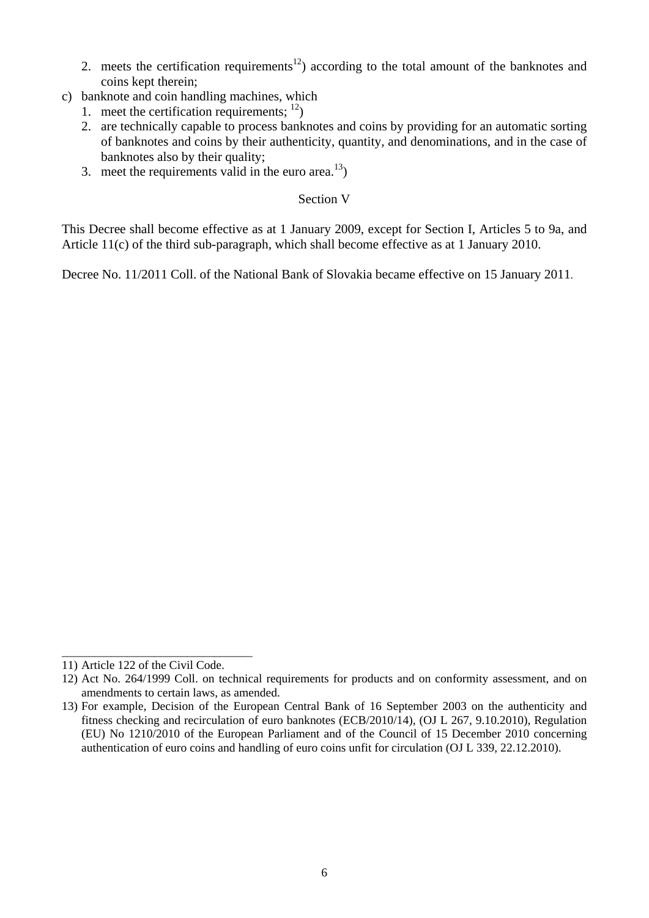- 2. meets the certification requirements<sup>12</sup>) according to the total amount of the banknotes and coins kept therein;
- c) banknote and coin handling machines, which
	- 1. meet the certification requirements;  $^{12}$ )
	- 2. are technically capable to process banknotes and coins by providing for an automatic sorting of banknotes and coins by their authenticity, quantity, and denominations, and in the case of banknotes also by their quality;
	- 3. meet the requirements valid in the euro area.<sup>13</sup>)

# Section V

This Decree shall become effective as at 1 January 2009, except for Section I, Articles 5 to 9a, and Article 11(c) of the third sub-paragraph, which shall become effective as at 1 January 2010.

Decree No. 11/2011 Coll. of the National Bank of Slovakia became effective on 15 January 2011.

\_\_\_\_\_\_\_\_\_\_\_\_\_\_\_\_\_\_\_\_\_\_\_\_\_\_\_\_\_\_\_\_\_\_\_

<sup>11)</sup> Article 122 of the Civil Code.

<sup>12)</sup> Act No. 264/1999 Coll. on technical requirements for products and on conformity assessment, and on amendments to certain laws, as amended.

<sup>13)</sup> For example, Decision of the European Central Bank of 16 September 2003 on the authenticity and fitness checking and recirculation of euro banknotes (ECB/2010/14), (OJ L 267, 9.10.2010), Regulation (EU) No 1210/2010 of the European Parliament and of the Council of 15 December 2010 concerning authentication of euro coins and handling of euro coins unfit for circulation (OJ L 339, 22.12.2010).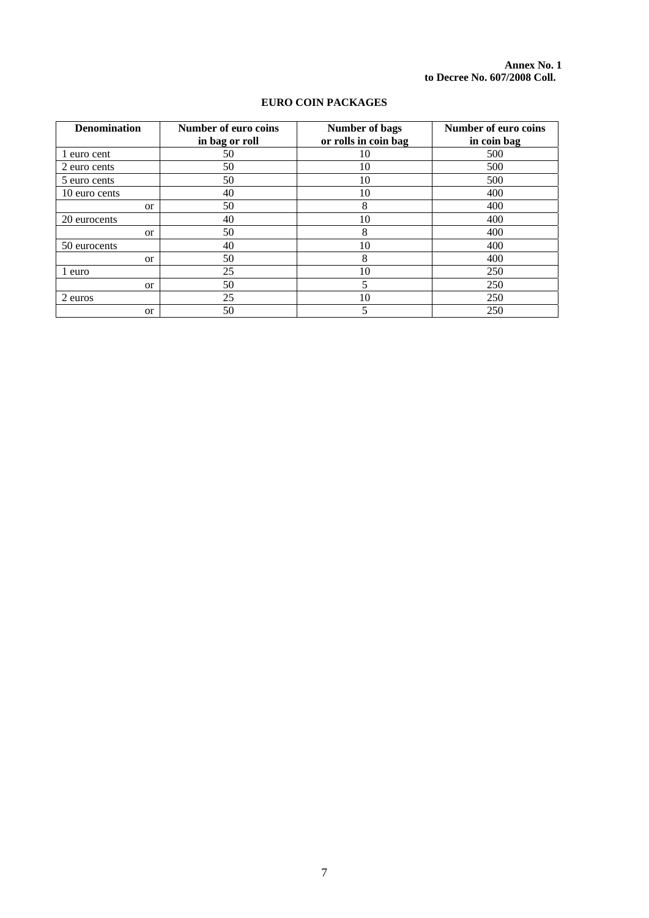**Annex No. 1 to Decree No. 607/2008 Coll.** 

| <b>Denomination</b> | <b>Number of euro coins</b> | <b>Number of bags</b> | <b>Number of euro coins</b> |  |
|---------------------|-----------------------------|-----------------------|-----------------------------|--|
|                     | in bag or roll              | or rolls in coin bag  | in coin bag                 |  |
| 1 euro cent         | 50                          | 10                    | 500                         |  |
| 2 euro cents        | 50                          | 10                    | 500                         |  |
| 5 euro cents        | 50                          | 10                    | 500                         |  |
| 10 euro cents       | 40                          | 10                    | 400                         |  |
| <sub>or</sub>       | 50                          | 8                     | 400                         |  |
| 20 eurocents        | 40                          | 10                    | 400                         |  |
| <sub>or</sub>       | 50                          | 8                     | 400                         |  |
| 50 eurocents        | 40                          | 10                    | 400                         |  |
| <sub>or</sub>       | 50                          | 8                     | 400                         |  |
| 1 euro              | 25                          | 10                    | 250                         |  |
| <sub>or</sub>       | 50                          | 5                     | 250                         |  |
| 2 euros             | 25                          | 10                    | 250                         |  |
| <sub>or</sub>       | 50                          | 5                     | 250                         |  |

### **EURO COIN PACKAGES**